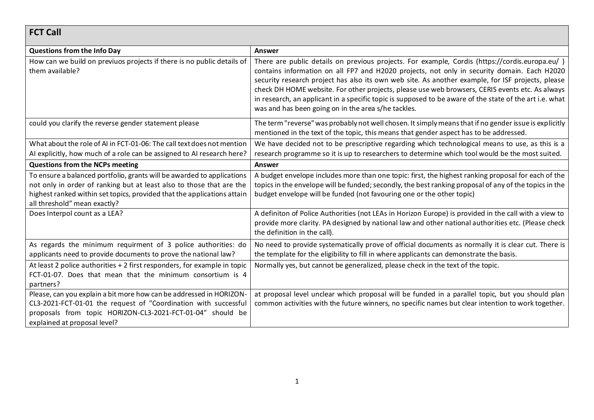## **FCT Call**

| <b>Questions from the Info Day</b>                                                                                                                                                                                                                        | Answer                                                                                                                                                                                                                                                                                                                                                                                                                                                                                                                                                                  |
|-----------------------------------------------------------------------------------------------------------------------------------------------------------------------------------------------------------------------------------------------------------|-------------------------------------------------------------------------------------------------------------------------------------------------------------------------------------------------------------------------------------------------------------------------------------------------------------------------------------------------------------------------------------------------------------------------------------------------------------------------------------------------------------------------------------------------------------------------|
| How can we build on previuos projects if there is no public details of<br>them available?                                                                                                                                                                 | There are public details on previous projects. For example, Cordis (https://cordis.europa.eu/)<br>contains information on all FP7 and H2020 projects, not only in security domain. Each H2020<br>security research project has also its own web site. As another example, for ISF projects, please<br>check DH HOME website. For other projects, please use web browsers, CERIS events etc. As always<br>in research, an applicant in a specific topic is supposed to be aware of the state of the art i.e. what<br>was and has been going on in the area s/he tackles. |
| could you clarify the reverse gender statement please                                                                                                                                                                                                     | The term "reverse" was probably not well chosen. It simply means that if no gender issue is explicitly<br>mentioned in the text of the topic, this means that gender aspect has to be addressed.                                                                                                                                                                                                                                                                                                                                                                        |
| What about the role of AI in FCT-01-06: The call text does not mention<br>Al explicitly, how much of a role can be assigned to Al research here?                                                                                                          | We have decided not to be prescriptive regarding which technological means to use, as this is a<br>research programme so it is up to researchers to determine which tool would be the most suited.                                                                                                                                                                                                                                                                                                                                                                      |
| <b>Questions from the NCPs meeting</b>                                                                                                                                                                                                                    | Answer                                                                                                                                                                                                                                                                                                                                                                                                                                                                                                                                                                  |
| To ensure a balanced portfolio, grants will be awarded to applications<br>not only in order of ranking but at least also to those that are the<br>highest ranked within set topics, provided that the applications attain<br>all threshold" mean exactly? | A budget envelope includes more than one topic: first, the highest ranking proposal for each of the<br>topics in the envelope will be funded; secondly, the best ranking proposal of any of the topics in the<br>budget envelope will be funded (not favouring one or the other topic)                                                                                                                                                                                                                                                                                  |
| Does Interpol count as a LEA?                                                                                                                                                                                                                             | A definiton of Police Authorities (not LEAs in Horizon Europe) is provided in the call with a view to<br>provide more clarity. PA designed by national law and other national authorities etc. (Please check<br>the definition in the call).                                                                                                                                                                                                                                                                                                                            |
| As regards the minimum requirment of 3 police authorities: do<br>applicants need to provide documents to prove the national law?                                                                                                                          | No need to provide systematically prove of official documents as normally it is clear cut. There is<br>the template for the eligibility to fill in where applicants can demonstrate the basis.                                                                                                                                                                                                                                                                                                                                                                          |
| At least 2 police authorities + 2 first responders, for example in topic<br>FCT-01-07. Does that mean that the minimum consortium is 4<br>partners?                                                                                                       | Normally yes, but cannot be generalized, please check in the text of the topic.                                                                                                                                                                                                                                                                                                                                                                                                                                                                                         |
| Please, can you explain a bit more how can be addressed in HORIZON-<br>CL3-2021-FCT-01-01 the request of "Coordination with successful<br>proposals from topic HORIZON-CL3-2021-FCT-01-04" should be<br>explained at proposal level?                      | at proposal level unclear which proposal will be funded in a parallel topic, but you should plan<br>common activities with the future winners, no specific names but clear intention to work together.                                                                                                                                                                                                                                                                                                                                                                  |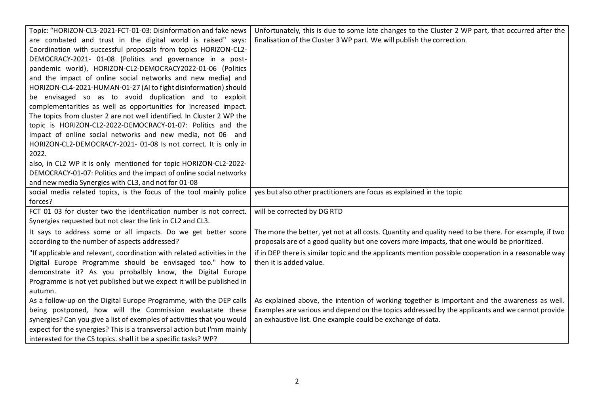| Topic: "HORIZON-CL3-2021-FCT-01-03: Disinformation and fake news         | Unfortunately, this is due to some late changes to the Cluster 2 WP part, that occurred after the     |
|--------------------------------------------------------------------------|-------------------------------------------------------------------------------------------------------|
| are combated and trust in the digital world is raised" says:             | finalisation of the Cluster 3 WP part. We will publish the correction.                                |
| Coordination with successful proposals from topics HORIZON-CL2-          |                                                                                                       |
| DEMOCRACY-2021- 01-08 (Politics and governance in a post-                |                                                                                                       |
| pandemic world), HORIZON-CL2-DEMOCRACY2022-01-06 (Politics               |                                                                                                       |
| and the impact of online social networks and new media) and              |                                                                                                       |
| HORIZON-CL4-2021-HUMAN-01-27 (AI to fight disinformation) should         |                                                                                                       |
| be envisaged so as to avoid duplication and to exploit                   |                                                                                                       |
| complementarities as well as opportunities for increased impact.         |                                                                                                       |
| The topics from cluster 2 are not well identified. In Cluster 2 WP the   |                                                                                                       |
| topic is HORIZON-CL2-2022-DEMOCRACY-01-07: Politics and the              |                                                                                                       |
| impact of online social networks and new media, not 06 and               |                                                                                                       |
| HORIZON-CL2-DEMOCRACY-2021- 01-08 Is not correct. It is only in          |                                                                                                       |
| 2022.                                                                    |                                                                                                       |
| also, in CL2 WP it is only mentioned for topic HORIZON-CL2-2022-         |                                                                                                       |
| DEMOCRACY-01-07: Politics and the impact of online social networks       |                                                                                                       |
| and new media Synergies with CL3, and not for 01-08                      |                                                                                                       |
| social media related topics, is the focus of the tool mainly police      | yes but also other practitioners are focus as explained in the topic                                  |
| forces?                                                                  |                                                                                                       |
| FCT 01 03 for cluster two the identification number is not correct.      | will be corrected by DG RTD                                                                           |
| Synergies requested but not clear the link in CL2 and CL3.               |                                                                                                       |
| It says to address some or all impacts. Do we get better score           | The more the better, yet not at all costs. Quantity and quality need to be there. For example, if two |
| according to the number of aspects addressed?                            | proposals are of a good quality but one covers more impacts, that one would be prioritized.           |
| "If applicable and relevant, coordination with related activities in the | if in DEP there is similar topic and the applicants mention possible cooperation in a reasonable way  |
| Digital Europe Programme should be envisaged too." how to                | then it is added value.                                                                               |
| demonstrate it? As you prrobalbly know, the Digital Europe               |                                                                                                       |
| Programme is not yet published but we expect it will be published in     |                                                                                                       |
| autumn.                                                                  |                                                                                                       |
| As a follow-up on the Digital Europe Programme, with the DEP calls       | As explained above, the intention of working together is important and the awareness as well.         |
| being postponed, how will the Commission evaluatate these                | Examples are various and depend on the topics addressed by the applicants and we cannot provide       |
| synergies? Can you give a list of exemples of activities that you would  | an exhaustive list. One example could be exchange of data.                                            |
| expect for the synergies? This is a transversal action but I'mm mainly   |                                                                                                       |
| interested for the CS topics. shall it be a specific tasks? WP?          |                                                                                                       |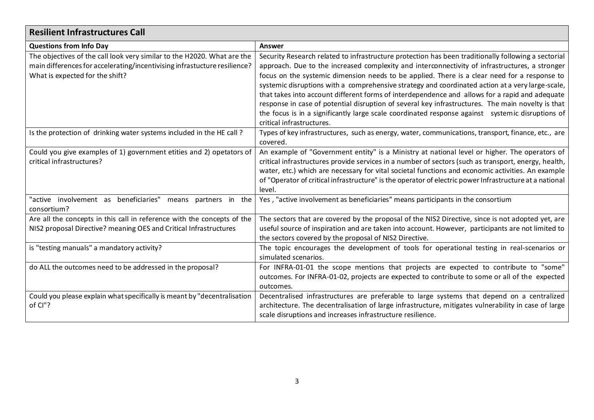| <b>Resilient Infrastructures Call</b>                                                                                                                                                   |                                                                                                                                                                                                                                                                                                                                                                                                                                                                                                                                                                                                                                                                                                                                                   |
|-----------------------------------------------------------------------------------------------------------------------------------------------------------------------------------------|---------------------------------------------------------------------------------------------------------------------------------------------------------------------------------------------------------------------------------------------------------------------------------------------------------------------------------------------------------------------------------------------------------------------------------------------------------------------------------------------------------------------------------------------------------------------------------------------------------------------------------------------------------------------------------------------------------------------------------------------------|
| <b>Questions from Info Day</b>                                                                                                                                                          | Answer                                                                                                                                                                                                                                                                                                                                                                                                                                                                                                                                                                                                                                                                                                                                            |
| The objectives of the call look very similar to the H2020. What are the<br>main differences for accelerating/incentivising infrastucture resilience?<br>What is expected for the shift? | Security Research related to infrastructure protection has been traditionally following a sectorial<br>approach. Due to the increased complexity and interconnectivity of infrastructures, a stronger<br>focus on the systemic dimension needs to be applied. There is a clear need for a response to<br>systemic disruptions with a comprehensive strategy and coordinated action at a very large-scale,<br>that takes into account different forms of interdependence and allows for a rapid and adequate<br>response in case of potential disruption of several key infrastructures. The main novelty is that<br>the focus is in a significantly large scale coordinated response against systemic disruptions of<br>critical infrastructures. |
| Is the protection of drinking water systems included in the HE call?                                                                                                                    | Types of key infrastructures, such as energy, water, communications, transport, finance, etc., are<br>covered.                                                                                                                                                                                                                                                                                                                                                                                                                                                                                                                                                                                                                                    |
| Could you give examples of 1) government etities and 2) opetators of<br>critical infrastructures?                                                                                       | An example of "Government entity" is a Ministry at national level or higher. The operators of<br>critical infrastructures provide services in a number of sectors (such as transport, energy, health,<br>water, etc.) which are necessary for vital societal functions and economic activities. An example<br>of "Operator of critical infrastructure" is the operator of electric power Infrastructure at a national<br>level.                                                                                                                                                                                                                                                                                                                   |
| "active involvement as beneficiaries"<br>means partners in the<br>consortium?                                                                                                           | Yes, "active involvement as beneficiaries" means participants in the consortium                                                                                                                                                                                                                                                                                                                                                                                                                                                                                                                                                                                                                                                                   |
| Are all the concepts in this call in reference with the concepts of the<br>NIS2 proposal Directive? meaning OES and Critical Infrastructures                                            | The sectors that are covered by the proposal of the NIS2 Directive, since is not adopted yet, are<br>useful source of inspiration and are taken into account. However, participants are not limited to<br>the sectors covered by the proposal of NIS2 Directive.                                                                                                                                                                                                                                                                                                                                                                                                                                                                                  |
| is "testing manuals" a mandatory activity?                                                                                                                                              | The topic encourages the development of tools for operational testing in real-scenarios or<br>simulated scenarios.                                                                                                                                                                                                                                                                                                                                                                                                                                                                                                                                                                                                                                |
| do ALL the outcomes need to be addressed in the proposal?                                                                                                                               | For INFRA-01-01 the scope mentions that projects are expected to contribute to "some"<br>outcomes. For INFRA-01-02, projects are expected to contribute to some or all of the expected<br>outcomes.                                                                                                                                                                                                                                                                                                                                                                                                                                                                                                                                               |
| Could you please explain what specifically is meant by "decentralisation<br>of Cl"?                                                                                                     | Decentralised infrastructures are preferable to large systems that depend on a centralized<br>architecture. The decentralisation of large infrastructure, mitigates vulnerability in case of large<br>scale disruptions and increases infrastructure resilience.                                                                                                                                                                                                                                                                                                                                                                                                                                                                                  |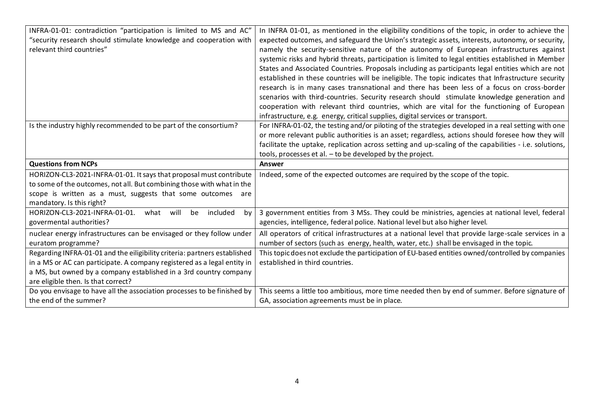| INFRA-01-01: contradiction "participation is limited to MS and AC"        | In INFRA 01-01, as mentioned in the eligibility conditions of the topic, in order to achieve the       |
|---------------------------------------------------------------------------|--------------------------------------------------------------------------------------------------------|
| "security research should stimulate knowledge and cooperation with        | expected outcomes, and safeguard the Union's strategic assets, interests, autonomy, or security,       |
| relevant third countries"                                                 | namely the security-sensitive nature of the autonomy of European infrastructures against               |
|                                                                           | systemic risks and hybrid threats, participation is limited to legal entities established in Member    |
|                                                                           | States and Associated Countries. Proposals including as participants legal entities which are not      |
|                                                                           | established in these countries will be ineligible. The topic indicates that Infrastructure security    |
|                                                                           | research is in many cases transnational and there has been less of a focus on cross-border             |
|                                                                           | scenarios with third-countries. Security research should stimulate knowledge generation and            |
|                                                                           | cooperation with relevant third countries, which are vital for the functioning of European             |
|                                                                           | infrastructure, e.g. energy, critical supplies, digital services or transport.                         |
| Is the industry highly recommended to be part of the consortium?          | For INFRA-01-02, the testing and/or piloting of the strategies developed in a real setting with one    |
|                                                                           | or more relevant public authorities is an asset; regardless, actions should foresee how they will      |
|                                                                           | facilitate the uptake, replication across setting and up-scaling of the capabilities - i.e. solutions, |
|                                                                           | tools, processes et al. - to be developed by the project.                                              |
| <b>Questions from NCPs</b>                                                | <b>Answer</b>                                                                                          |
| HORIZON-CL3-2021-INFRA-01-01. It says that proposal must contribute       | Indeed, some of the expected outcomes are required by the scope of the topic.                          |
| to some of the outcomes, not all. But combining those with what in the    |                                                                                                        |
| scope is written as a must, suggests that some outcomes are               |                                                                                                        |
| mandatory. Is this right?                                                 |                                                                                                        |
| HORIZON-CL3-2021-INFRA-01-01.<br>will<br>included<br>what<br>be<br>by     | 3 government entities from 3 MSs. They could be ministries, agencies at national level, federal        |
| govermental authorities?                                                  | agencies, intelligence, federal police. National level but also higher level.                          |
| nuclear energy infrastructures can be envisaged or they follow under      | All operators of critical infrastructures at a national level that provide large-scale services in a   |
| euratom programme?                                                        | number of sectors (such as energy, health, water, etc.) shall be envisaged in the topic.               |
| Regarding INFRA-01-01 and the eiligibility criteria: partners established | This topic does not exclude the participation of EU-based entities owned/controlled by companies       |
| in a MS or AC can participate. A company registered as a legal entity in  | established in third countries.                                                                        |
| a MS, but owned by a company established in a 3rd country company         |                                                                                                        |
| are eligible then. Is that correct?                                       |                                                                                                        |
| Do you envisage to have all the association processes to be finished by   | This seems a little too ambitious, more time needed then by end of summer. Before signature of         |
| the end of the summer?                                                    | GA, association agreements must be in place.                                                           |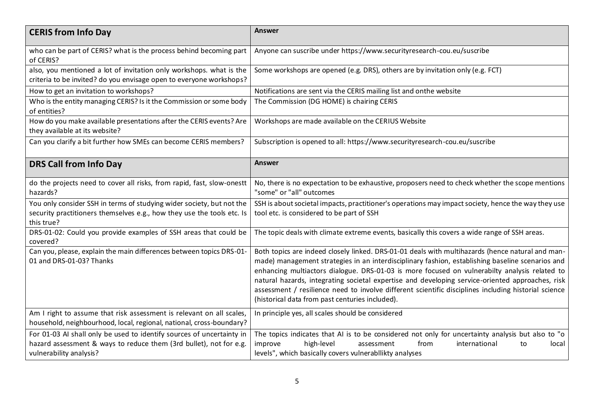| <b>CERIS from Info Day</b>                                                                                                                                             | <b>Answer</b>                                                                                                                                                                                                                                                                                                                                                                                                                                                                                                                                                        |
|------------------------------------------------------------------------------------------------------------------------------------------------------------------------|----------------------------------------------------------------------------------------------------------------------------------------------------------------------------------------------------------------------------------------------------------------------------------------------------------------------------------------------------------------------------------------------------------------------------------------------------------------------------------------------------------------------------------------------------------------------|
| who can be part of CERIS? what is the process behind becoming part<br>of CERIS?                                                                                        | Anyone can suscribe under https://www.securityresearch-cou.eu/suscribe                                                                                                                                                                                                                                                                                                                                                                                                                                                                                               |
| also, you mentioned a lot of invitation only workshops. what is the<br>criteria to be invited? do you envisage open to everyone workshops?                             | Some workshops are opened (e.g. DRS), others are by invitation only (e.g. FCT)                                                                                                                                                                                                                                                                                                                                                                                                                                                                                       |
| How to get an invitation to workshops?                                                                                                                                 | Notifications are sent via the CERIS mailing list and onthe website                                                                                                                                                                                                                                                                                                                                                                                                                                                                                                  |
| Who is the entity managing CERIS? Is it the Commission or some body<br>of entities?                                                                                    | The Commission (DG HOME) is chairing CERIS                                                                                                                                                                                                                                                                                                                                                                                                                                                                                                                           |
| How do you make available presentations after the CERIS events? Are<br>they available at its website?                                                                  | Workshops are made available on the CERIUS Website                                                                                                                                                                                                                                                                                                                                                                                                                                                                                                                   |
| Can you clarify a bit further how SMEs can become CERIS members?                                                                                                       | Subscription is opened to all: https://www.securityresearch-cou.eu/suscribe                                                                                                                                                                                                                                                                                                                                                                                                                                                                                          |
| <b>DRS Call from Info Day</b>                                                                                                                                          | <b>Answer</b>                                                                                                                                                                                                                                                                                                                                                                                                                                                                                                                                                        |
| do the projects need to cover all risks, from rapid, fast, slow-onestt<br>hazards?                                                                                     | No, there is no expectation to be exhaustive, proposers need to check whether the scope mentions<br>"some" or "all" outcomes                                                                                                                                                                                                                                                                                                                                                                                                                                         |
| You only consider SSH in terms of studying wider society, but not the                                                                                                  | SSH is about societal impacts, practitioner's operations may impact society, hence the way they use                                                                                                                                                                                                                                                                                                                                                                                                                                                                  |
| security practitioners themselves e.g., how they use the tools etc. Is<br>this true?                                                                                   | tool etc. is considered to be part of SSH                                                                                                                                                                                                                                                                                                                                                                                                                                                                                                                            |
| DRS-01-02: Could you provide examples of SSH areas that could be<br>covered?                                                                                           | The topic deals with climate extreme events, basically this covers a wide range of SSH areas.                                                                                                                                                                                                                                                                                                                                                                                                                                                                        |
| Can you, please, explain the main differences between topics DRS-01-<br>01 and DRS-01-03? Thanks                                                                       | Both topics are indeed closely linked. DRS-01-01 deals with multihazards (hence natural and man-<br>made) management strategies in an interdisciplinary fashion, establishing baseline scenarios and<br>enhancing multiactors dialogue. DRS-01-03 is more focused on vulnerabilty analysis related to<br>natural hazards, integrating societal expertise and developing service-oriented approaches, risk<br>assessment / resilience need to involve different scientific disciplines including historial science<br>(historical data from past centuries included). |
| Am I right to assume that risk assessment is relevant on all scales,<br>household, neighbourhood, local, regional, national, cross-boundary?                           | In principle yes, all scales should be considered                                                                                                                                                                                                                                                                                                                                                                                                                                                                                                                    |
| For 01-03 AI shall only be used to identify sources of uncertainty in<br>hazard assessment & ways to reduce them (3rd bullet), not for e.g.<br>vulnerability analysis? | The topics indicates that AI is to be considered not only for uncertainty analysis but also to "o<br>high-level<br>from<br>international<br>improve<br>assessment<br>local<br>to<br>levels", which basically covers vulnerabilikty analyses                                                                                                                                                                                                                                                                                                                          |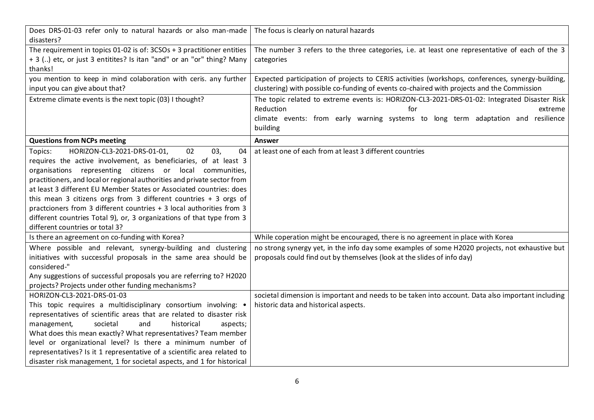| Does DRS-01-03 refer only to natural hazards or also man-made<br>disasters? | The focus is clearly on natural hazards                                                           |
|-----------------------------------------------------------------------------|---------------------------------------------------------------------------------------------------|
| The requirement in topics 01-02 is of: 3CSOs + 3 practitioner entities      | The number 3 refers to the three categories, i.e. at least one representative of each of the 3    |
| + 3 () etc, or just 3 entitites? Is itan "and" or an "or" thing? Many       | categories                                                                                        |
| thanks!                                                                     |                                                                                                   |
| you mention to keep in mind colaboration with ceris. any further            | Expected participation of projects to CERIS activities (workshops, conferences, synergy-building, |
| input you can give about that?                                              | clustering) with possible co-funding of events co-chaired with projects and the Commission        |
|                                                                             |                                                                                                   |
| Extreme climate events is the next topic (03) I thought?                    | The topic related to extreme events is: HORIZON-CL3-2021-DRS-01-02: Integrated Disaster Risk      |
|                                                                             | Reduction<br>for<br>extreme                                                                       |
|                                                                             | climate events: from early warning systems to long term adaptation and resilience                 |
|                                                                             | building                                                                                          |
| <b>Questions from NCPs meeting</b>                                          | Answer                                                                                            |
| HORIZON-CL3-2021-DRS-01-01,<br>02<br>03,<br>04<br>Topics:                   | at least one of each from at least 3 different countries                                          |
| requires the active involvement, as beneficiaries, of at least 3            |                                                                                                   |
| organisations representing citizens or<br>local communities,                |                                                                                                   |
| practitioners, and local or regional authorities and private sector from    |                                                                                                   |
| at least 3 different EU Member States or Associated countries: does         |                                                                                                   |
| this mean 3 citizens orgs from 3 different countries $+$ 3 orgs of          |                                                                                                   |
| practcioners from 3 different countries + 3 local authorities from 3        |                                                                                                   |
| different countries Total 9), or, 3 organizations of that type from 3       |                                                                                                   |
| different countries or total 3?                                             |                                                                                                   |
| Is there an agreement on co-funding with Korea?                             | While coperation might be encouraged, there is no agreement in place with Korea                   |
| Where possible and relevant, synergy-building and clustering                | no strong synergy yet, in the info day some examples of some H2020 projects, not exhaustive but   |
| initiatives with successful proposals in the same area should be            | proposals could find out by themselves (look at the slides of info day)                           |
| considered-"                                                                |                                                                                                   |
| Any suggestions of successful proposals you are referring to? H2020         |                                                                                                   |
| projects? Projects under other funding mechanisms?                          |                                                                                                   |
| HORIZON-CL3-2021-DRS-01-03                                                  | societal dimension is important and needs to be taken into account. Data also important including |
| This topic requires a multidisciplinary consortium involving: •             | historic data and historical aspects.                                                             |
| representatives of scientific areas that are related to disaster risk       |                                                                                                   |
| societal<br>and<br>historical<br>management,<br>aspects;                    |                                                                                                   |
| What does this mean exactly? What representatives? Team member              |                                                                                                   |
| level or organizational level? Is there a minimum number of                 |                                                                                                   |
| representatives? Is it 1 representative of a scientific area related to     |                                                                                                   |
| disaster risk management, 1 for societal aspects, and 1 for historical      |                                                                                                   |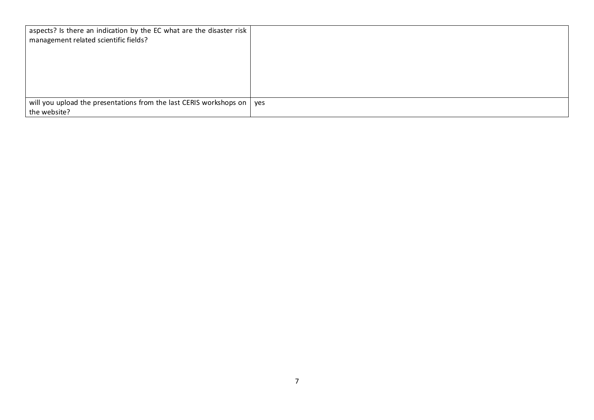| aspects? Is there an indication by the EC what are the disaster risk<br>management related scientific fields? |  |
|---------------------------------------------------------------------------------------------------------------|--|
| will you upload the presentations from the last CERIS workshops on $\vert$ yes                                |  |
| the website?                                                                                                  |  |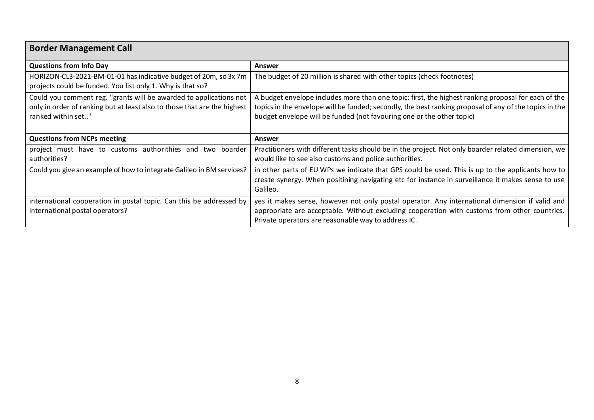| <b>Border Management Call</b>                                                                                                                                        |                                                                                                                                                                                                                                                                                        |
|----------------------------------------------------------------------------------------------------------------------------------------------------------------------|----------------------------------------------------------------------------------------------------------------------------------------------------------------------------------------------------------------------------------------------------------------------------------------|
| <b>Questions from Info Day</b>                                                                                                                                       | <b>Answer</b>                                                                                                                                                                                                                                                                          |
| HORIZON-CL3-2021-BM-01-01 has indicative budget of 20m, so 3x 7m<br>projects could be funded. You list only 1. Why is that so?                                       | The budget of 20 million is shared with other topics (check footnotes)                                                                                                                                                                                                                 |
| Could you comment reg. "grants will be awarded to applications not<br>only in order of ranking but at least also to those that are the highest<br>ranked within set" | A budget envelope includes more than one topic: first, the highest ranking proposal for each of the<br>topics in the envelope will be funded; secondly, the best ranking proposal of any of the topics in the<br>budget envelope will be funded (not favouring one or the other topic) |
| <b>Questions from NCPs meeting</b>                                                                                                                                   | <b>Answer</b>                                                                                                                                                                                                                                                                          |
| project must have to customs authorithies and two boarder<br>authorities?                                                                                            | Practitioners with different tasks should be in the project. Not only boarder related dimension, we<br>would like to see also customs and police authorities.                                                                                                                          |
| Could you give an example of how to integrate Galileo in BM services?                                                                                                | in other parts of EU WPs we indicate that GPS could be used. This is up to the applicants how to<br>create synergy. When positining navigating etc for instance in surveillance it makes sense to use<br>Galileo.                                                                      |
| international cooperation in postal topic. Can this be addressed by<br>international postal operators?                                                               | yes it makes sense, however not only postal operator. Any international dimension if valid and<br>appropriate are acceptable. Without excluding cooperation with customs from other countries.<br>Private operators are reasonable way to address IC.                                  |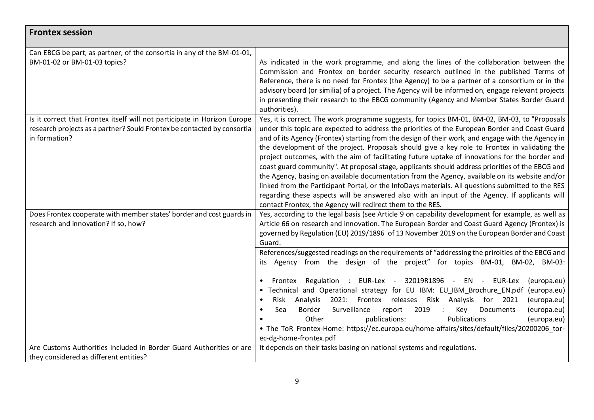| <b>Frontex session</b>                                                                                                                                               |                                                                                                                                                                                                                                                                                                                                                                                                                                                                                                                                                                                                                                                                                                                                                                                                                                                                                                                                                                                                                                                     |
|----------------------------------------------------------------------------------------------------------------------------------------------------------------------|-----------------------------------------------------------------------------------------------------------------------------------------------------------------------------------------------------------------------------------------------------------------------------------------------------------------------------------------------------------------------------------------------------------------------------------------------------------------------------------------------------------------------------------------------------------------------------------------------------------------------------------------------------------------------------------------------------------------------------------------------------------------------------------------------------------------------------------------------------------------------------------------------------------------------------------------------------------------------------------------------------------------------------------------------------|
| Can EBCG be part, as partner, of the consortia in any of the BM-01-01,<br>BM-01-02 or BM-01-03 topics?                                                               | As indicated in the work programme, and along the lines of the collaboration between the<br>Commission and Frontex on border security research outlined in the published Terms of<br>Reference, there is no need for Frontex (the Agency) to be a partner of a consortium or in the<br>advisory board (or similia) of a project. The Agency will be informed on, engage relevant projects<br>in presenting their research to the EBCG community (Agency and Member States Border Guard<br>authorities).                                                                                                                                                                                                                                                                                                                                                                                                                                                                                                                                             |
| Is it correct that Frontex itself will not participate in Horizon Europe<br>research projects as a partner? Sould Frontex be contacted by consortia<br>in formation? | Yes, it is correct. The work programme suggests, for topics BM-01, BM-02, BM-03, to "Proposals<br>under this topic are expected to address the priorities of the European Border and Coast Guard<br>and of its Agency (Frontex) starting from the design of their work, and engage with the Agency in<br>the development of the project. Proposals should give a key role to Frontex in validating the<br>project outcomes, with the aim of facilitating future uptake of innovations for the border and<br>coast guard community". At proposal stage, applicants should address priorities of the EBCG and<br>the Agency, basing on available documentation from the Agency, available on its website and/or<br>linked from the Participant Portal, or the InfoDays materials. All questions submitted to the RES<br>regarding these aspects will be answered also with an input of the Agency. If applicants will<br>contact Frontex, the Agency will redirect them to the RES.                                                                   |
| Does Frontex cooperate with member states' border and cost guards in<br>research and innovation? If so, how?                                                         | Yes, according to the legal basis (see Article 9 on capability development for example, as well as<br>Article 66 on research and innovation. The European Border and Coast Guard Agency (Frontex) is<br>governed by Regulation (EU) 2019/1896 of 13 November 2019 on the European Border and Coast<br>Guard.<br>References/suggested readings on the requirements of "addressing the priroities of the EBCG and<br>Agency from the design of the project" for topics BM-01, BM-02, BM-03:<br>its<br>Frontex Regulation : EUR-Lex - 32019R1896 - EN - EUR-Lex<br>(europa.eu)<br>Technical and Operational strategy for EU IBM: EU IBM Brochure EN.pdf (europa.eu)<br>2021: Frontex releases Risk Analysis for 2021<br>Risk Analysis<br>(europa.eu)<br>Surveillance<br>2019<br>Sea<br>Border<br>report<br>$\ddot{\phantom{1}}$ :<br>Key<br>Documents<br>(europa.eu)<br>Publications<br>Other<br>publications:<br>(europa.eu)<br>• The ToR Frontex-Home: https://ec.europa.eu/home-affairs/sites/default/files/20200206 tor-<br>ec-dg-home-frontex.pdf |
| Are Customs Authorities included in Border Guard Authorities or are<br>they considered as different entities?                                                        | It depends on their tasks basing on national systems and regulations.                                                                                                                                                                                                                                                                                                                                                                                                                                                                                                                                                                                                                                                                                                                                                                                                                                                                                                                                                                               |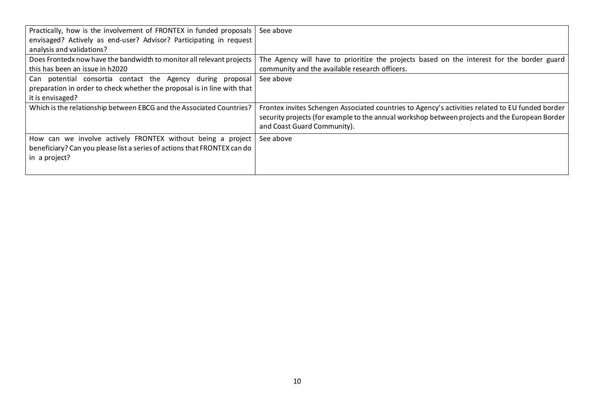| Practically, how is the involvement of FRONTEX in funded proposals<br>envisaged? Actively as end-user? Advisor? Participating in request<br>analysis and validations? | See above                                                                                                                                                                                                                         |
|-----------------------------------------------------------------------------------------------------------------------------------------------------------------------|-----------------------------------------------------------------------------------------------------------------------------------------------------------------------------------------------------------------------------------|
| Does Frontedx now have the bandwidth to monitor all relevant projects<br>this has been an issue in h2020                                                              | The Agency will have to prioritize the projects based on the interest for the border guard<br>community and the available research officers.                                                                                      |
| Can potential consortia contact the Agency during proposal<br>preparation in order to check whether the proposal is in line with that<br>it is envisaged?             | See above                                                                                                                                                                                                                         |
| Which is the relationship between EBCG and the Associated Countries?                                                                                                  | Frontex invites Schengen Associated countries to Agency's activities related to EU funded border<br>security projects (for example to the annual workshop between projects and the European Border<br>and Coast Guard Community). |
| How can we involve actively FRONTEX without being a project<br>beneficiary? Can you please list a series of actions that FRONTEX can do<br>in a project?              | See above                                                                                                                                                                                                                         |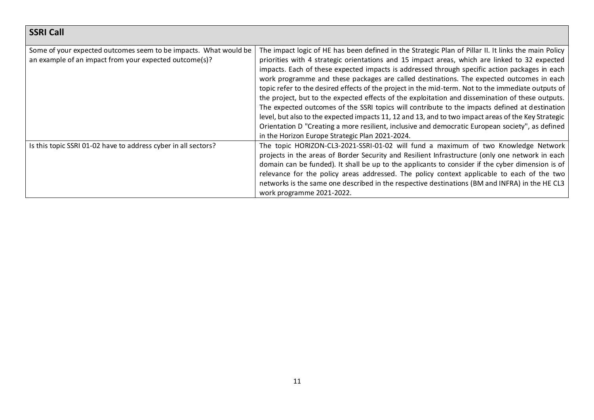| <b>SSRI Call</b>                                                                                                           |                                                                                                                                                                                                                                                                                                                                                                                                                                                                                                                                                                                                                                                                                                                                                                                                                                                                                                                                                                              |
|----------------------------------------------------------------------------------------------------------------------------|------------------------------------------------------------------------------------------------------------------------------------------------------------------------------------------------------------------------------------------------------------------------------------------------------------------------------------------------------------------------------------------------------------------------------------------------------------------------------------------------------------------------------------------------------------------------------------------------------------------------------------------------------------------------------------------------------------------------------------------------------------------------------------------------------------------------------------------------------------------------------------------------------------------------------------------------------------------------------|
| Some of your expected outcomes seem to be impacts. What would be<br>an example of an impact from your expected outcome(s)? | The impact logic of HE has been defined in the Strategic Plan of Pillar II. It links the main Policy<br>priorities with 4 strategic orientations and 15 impact areas, which are linked to 32 expected<br>impacts. Each of these expected impacts is addressed through specific action packages in each<br>work programme and these packages are called destinations. The expected outcomes in each<br>topic refer to the desired effects of the project in the mid-term. Not to the immediate outputs of<br>the project, but to the expected effects of the exploitation and dissemination of these outputs.<br>The expected outcomes of the SSRI topics will contribute to the impacts defined at destination<br>level, but also to the expected impacts 11, 12 and 13, and to two impact areas of the Key Strategic<br>Orientation D "Creating a more resilient, inclusive and democratic European society", as defined<br>in the Horizon Europe Strategic Plan 2021-2024. |
| Is this topic SSRI 01-02 have to address cyber in all sectors?                                                             | The topic HORIZON-CL3-2021-SSRI-01-02 will fund a maximum of two Knowledge Network<br>projects in the areas of Border Security and Resilient Infrastructure (only one network in each<br>domain can be funded). It shall be up to the applicants to consider if the cyber dimension is of<br>relevance for the policy areas addressed. The policy context applicable to each of the two<br>networks is the same one described in the respective destinations (BM and INFRA) in the HE CL3<br>work programme 2021-2022.                                                                                                                                                                                                                                                                                                                                                                                                                                                       |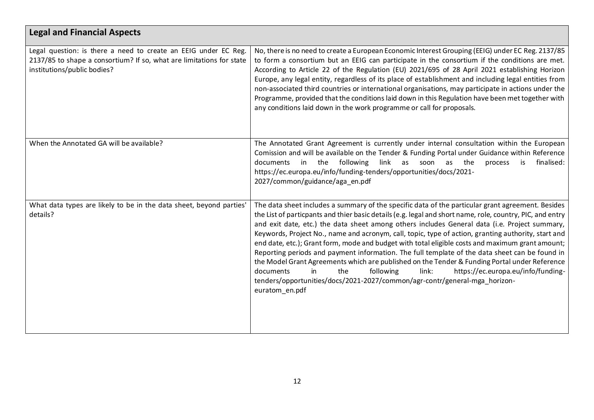| <b>Legal and Financial Aspects</b>                                                                                                                                     |                                                                                                                                                                                                                                                                                                                                                                                                                                                                                                                                                                                                                                                                                                                                                                                                                                                                                                                     |
|------------------------------------------------------------------------------------------------------------------------------------------------------------------------|---------------------------------------------------------------------------------------------------------------------------------------------------------------------------------------------------------------------------------------------------------------------------------------------------------------------------------------------------------------------------------------------------------------------------------------------------------------------------------------------------------------------------------------------------------------------------------------------------------------------------------------------------------------------------------------------------------------------------------------------------------------------------------------------------------------------------------------------------------------------------------------------------------------------|
| Legal question: is there a need to create an EEIG under EC Reg.<br>2137/85 to shape a consortium? If so, what are limitations for state<br>institutions/public bodies? | No, there is no need to create a European Economic Interest Grouping (EEIG) under EC Reg. 2137/85<br>to form a consortium but an EEIG can participate in the consortium if the conditions are met.<br>According to Article 22 of the Regulation (EU) 2021/695 of 28 April 2021 establishing Horizon<br>Europe, any legal entity, regardless of its place of establishment and including legal entities from<br>non-associated third countries or international organisations, may participate in actions under the<br>Programme, provided that the conditions laid down in this Regulation have been met together with<br>any conditions laid down in the work programme or call for proposals.                                                                                                                                                                                                                     |
| When the Annotated GA will be available?                                                                                                                               | The Annotated Grant Agreement is currently under internal consultation within the European<br>Comission and will be available on the Tender & Funding Portal under Guidance within Reference<br>finalised:<br>documents in the following<br>link as<br>as<br>the<br>soon<br>process<br>is<br>https://ec.europa.eu/info/funding-tenders/opportunities/docs/2021-<br>2027/common/guidance/aga_en.pdf                                                                                                                                                                                                                                                                                                                                                                                                                                                                                                                  |
| What data types are likely to be in the data sheet, beyond parties'<br>details?                                                                                        | The data sheet includes a summary of the specific data of the particular grant agreement. Besides<br>the List of particpants and thier basic details (e.g. legal and short name, role, country, PIC, and entry<br>and exit date, etc.) the data sheet among others includes General data (i.e. Project summary,<br>Keywords, Project No., name and acronym, call, topic, type of action, granting authority, start and<br>end date, etc.); Grant form, mode and budget with total eligible costs and maximum grant amount;<br>Reporting periods and payment information. The full template of the data sheet can be found in<br>the Model Grant Agreements which are published on the Tender & Funding Portal under Reference<br>link:<br>https://ec.europa.eu/info/funding-<br>documents<br>in<br>the<br>following<br>tenders/opportunities/docs/2021-2027/common/agr-contr/general-mga_horizon-<br>euratom_en.pdf |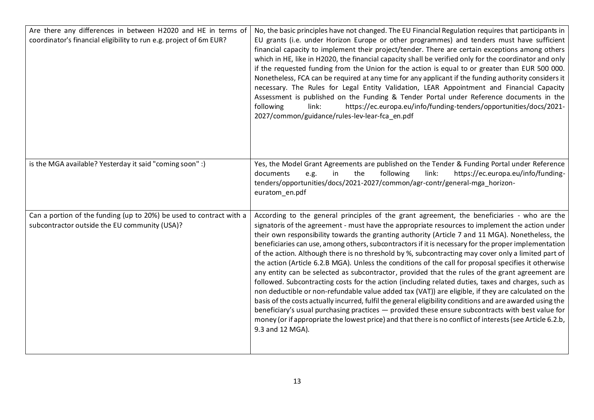| Are there any differences in between H2020 and HE in terms of<br>coordinator's financial eligibility to run e.g. project of 6m EUR? | No, the basic principles have not changed. The EU Financial Regulation requires that participants in<br>EU grants (i.e. under Horizon Europe or other programmes) and tenders must have sufficient<br>financial capacity to implement their project/tender. There are certain exceptions among others<br>which in HE, like in H2020, the financial capacity shall be verified only for the coordinator and only<br>if the requested funding from the Union for the action is equal to or greater than EUR 500 000.<br>Nonetheless, FCA can be required at any time for any applicant if the funding authority considers it<br>necessary. The Rules for Legal Entity Validation, LEAR Appointment and Financial Capacity<br>Assessment is published on the Funding & Tender Portal under Reference documents in the<br>following<br>https://ec.europa.eu/info/funding-tenders/opportunities/docs/2021-<br>link:<br>2027/common/guidance/rules-lev-lear-fca_en.pdf                                                                                                                                                                                                                                                                                                                               |
|-------------------------------------------------------------------------------------------------------------------------------------|------------------------------------------------------------------------------------------------------------------------------------------------------------------------------------------------------------------------------------------------------------------------------------------------------------------------------------------------------------------------------------------------------------------------------------------------------------------------------------------------------------------------------------------------------------------------------------------------------------------------------------------------------------------------------------------------------------------------------------------------------------------------------------------------------------------------------------------------------------------------------------------------------------------------------------------------------------------------------------------------------------------------------------------------------------------------------------------------------------------------------------------------------------------------------------------------------------------------------------------------------------------------------------------------|
| is the MGA available? Yesterday it said "coming soon" :)                                                                            | Yes, the Model Grant Agreements are published on the Tender & Funding Portal under Reference<br>the<br>following<br>link:<br>https://ec.europa.eu/info/funding-<br>documents<br>in<br>e.g.<br>tenders/opportunities/docs/2021-2027/common/agr-contr/general-mga horizon-<br>euratom_en.pdf                                                                                                                                                                                                                                                                                                                                                                                                                                                                                                                                                                                                                                                                                                                                                                                                                                                                                                                                                                                                     |
| Can a portion of the funding (up to 20%) be used to contract with a<br>subcontractor outside the EU community (USA)?                | According to the general principles of the grant agreement, the beneficiaries - who are the<br>signatoris of the agreement - must have the appropriate resources to implement the action under<br>their own responsibility towards the granting authority (Article 7 and 11 MGA). Nonetheless, the<br>beneficiaries can use, among others, subcontractors if it is necessary for the proper implementation<br>of the action. Although there is no threshold by %, subcontracting may cover only a limited part of<br>the action (Article 6.2.B MGA). Unless the conditions of the call for proposal specifies it otherwise<br>any entity can be selected as subcontractor, provided that the rules of the grant agreement are<br>followed. Subcontracting costs for the action (including related duties, taxes and charges, such as<br>non deductible or non-refundable value added tax (VAT)) are eligible, if they are calculated on the<br>basis of the costs actually incurred, fulfil the general eligibility conditions and are awarded using the<br>beneficiary's usual purchasing practices — provided these ensure subcontracts with best value for<br>money (or if appropriate the lowest price) and that there is no conflict of interests (see Article 6.2.b,<br>9.3 and 12 MGA). |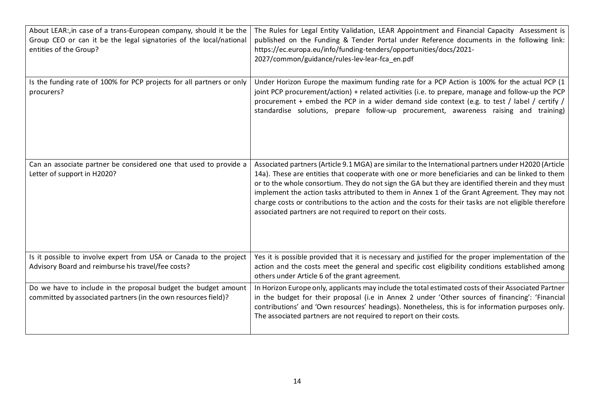| About LEAR:, in case of a trans-European company, should it be the<br>Group CEO or can it be the legal signatories of the local/national<br>entities of the Group? | The Rules for Legal Entity Validation, LEAR Appointment and Financial Capacity Assessment is<br>published on the Funding & Tender Portal under Reference documents in the following link:<br>https://ec.europa.eu/info/funding-tenders/opportunities/docs/2021-<br>2027/common/guidance/rules-lev-lear-fca_en.pdf                                                                                                                                                                                                                                                                        |
|--------------------------------------------------------------------------------------------------------------------------------------------------------------------|------------------------------------------------------------------------------------------------------------------------------------------------------------------------------------------------------------------------------------------------------------------------------------------------------------------------------------------------------------------------------------------------------------------------------------------------------------------------------------------------------------------------------------------------------------------------------------------|
| Is the funding rate of 100% for PCP projects for all partners or only<br>procurers?                                                                                | Under Horizon Europe the maximum funding rate for a PCP Action is 100% for the actual PCP (1<br>joint PCP procurement/action) + related activities (i.e. to prepare, manage and follow-up the PCP<br>procurement + embed the PCP in a wider demand side context (e.g. to test / label / certify / $\vert$<br>standardise solutions, prepare follow-up procurement, awareness raising and training)                                                                                                                                                                                       |
| Can an associate partner be considered one that used to provide a<br>Letter of support in H2020?                                                                   | Associated partners (Article 9.1 MGA) are similar to the International partners under H2020 (Article<br>14a). These are entities that cooperate with one or more beneficiaries and can be linked to them<br>or to the whole consortium. They do not sign the GA but they are identified therein and they must<br>implement the action tasks attributed to them in Annex 1 of the Grant Agreement. They may not<br>charge costs or contributions to the action and the costs for their tasks are not eligible therefore<br>associated partners are not required to report on their costs. |
| Is it possible to involve expert from USA or Canada to the project<br>Advisory Board and reimburse his travel/fee costs?                                           | Yes it is possible provided that it is necessary and justified for the proper implementation of the<br>action and the costs meet the general and specific cost eligibility conditions established among<br>others under Article 6 of the grant agreement.                                                                                                                                                                                                                                                                                                                                |
| Do we have to include in the proposal budget the budget amount<br>committed by associated partners (in the own resources field)?                                   | In Horizon Europe only, applicants may include the total estimated costs of their Associated Partner<br>in the budget for their proposal (i.e in Annex 2 under 'Other sources of financing': 'Financial<br>contributions' and 'Own resources' headings). Nonetheless, this is for information purposes only.<br>The associated partners are not required to report on their costs.                                                                                                                                                                                                       |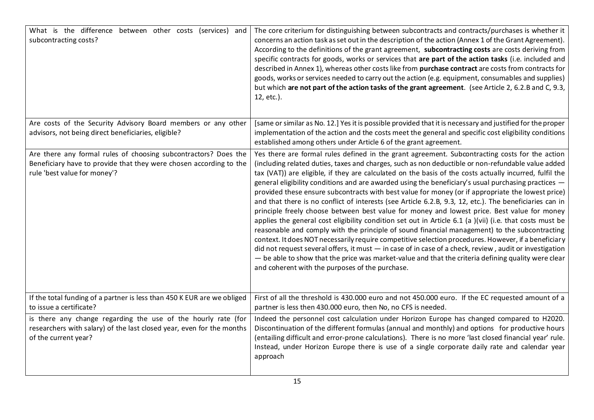| What is the difference between other costs (services) and<br>subcontracting costs?                                                                                    | The core criterium for distinguishing between subcontracts and contracts/purchases is whether it<br>concerns an action task as set out in the description of the action (Annex 1 of the Grant Agreement).<br>According to the definitions of the grant agreement, subcontracting costs are costs deriving from<br>specific contracts for goods, works or services that are part of the action tasks (i.e. included and<br>described in Annex 1), whereas other costs like from purchase contract are costs from contracts for<br>goods, works or services needed to carry out the action (e.g. equipment, consumables and supplies)<br>but which are not part of the action tasks of the grant agreement. (see Article 2, 6.2.B and C, 9.3,<br>12, etc.).                                                                                                                                                                                                                                                                                                                                                                                                                                                                                                                                                                         |
|-----------------------------------------------------------------------------------------------------------------------------------------------------------------------|-----------------------------------------------------------------------------------------------------------------------------------------------------------------------------------------------------------------------------------------------------------------------------------------------------------------------------------------------------------------------------------------------------------------------------------------------------------------------------------------------------------------------------------------------------------------------------------------------------------------------------------------------------------------------------------------------------------------------------------------------------------------------------------------------------------------------------------------------------------------------------------------------------------------------------------------------------------------------------------------------------------------------------------------------------------------------------------------------------------------------------------------------------------------------------------------------------------------------------------------------------------------------------------------------------------------------------------|
| Are costs of the Security Advisory Board members or any other<br>advisors, not being direct beneficiaries, eligible?                                                  | [same or similar as No. 12.] Yes it is possible provided that it is necessary and justified for the proper<br>implementation of the action and the costs meet the general and specific cost eligibility conditions<br>established among others under Article 6 of the grant agreement.                                                                                                                                                                                                                                                                                                                                                                                                                                                                                                                                                                                                                                                                                                                                                                                                                                                                                                                                                                                                                                            |
| Are there any formal rules of choosing subcontractors? Does the<br>Beneficiary have to provide that they were chosen according to the<br>rule 'best value for money'? | Yes there are formal rules defined in the grant agreement. Subcontracting costs for the action<br>(including related duties, taxes and charges, such as non deductible or non-refundable value added<br>tax (VAT)) are eligible, if they are calculated on the basis of the costs actually incurred, fulfil the<br>general eligibility conditions and are awarded using the beneficiary's usual purchasing practices -<br>provided these ensure subcontracts with best value for money (or if appropriate the lowest price)<br>and that there is no conflict of interests (see Article 6.2.B, 9.3, 12, etc.). The beneficiaries can in<br>principle freely choose between best value for money and lowest price. Best value for money<br>applies the general cost eligibility condition set out in Article 6.1 (a )(vii) (i.e. that costs must be<br>reasonable and comply with the principle of sound financial management) to the subcontracting<br>context. It does NOT necessarily require competitive selection procedures. However, if a beneficiary<br>did not request several offers, it must $-$ in case of in case of a check, review, audit or investigation<br>- be able to show that the price was market-value and that the criteria defining quality were clear<br>and coherent with the purposes of the purchase. |
| If the total funding of a partner is less than 450 K EUR are we obliged<br>to issue a certificate?                                                                    | First of all the threshold is 430.000 euro and not 450.000 euro. If the EC requested amount of a<br>partner is less then 430.000 euro, then No, no CFS is needed.                                                                                                                                                                                                                                                                                                                                                                                                                                                                                                                                                                                                                                                                                                                                                                                                                                                                                                                                                                                                                                                                                                                                                                 |
| is there any change regarding the use of the hourly rate (for<br>researchers with salary) of the last closed year, even for the months<br>of the current year?        | Indeed the personnel cost calculation under Horizon Europe has changed compared to H2020.<br>Discontinuation of the different formulas (annual and monthly) and options for productive hours<br>(entailing difficult and error-prone calculations). There is no more 'last closed financial year' rule.<br>Instead, under Horizon Europe there is use of a single corporate daily rate and calendar year<br>approach                                                                                                                                                                                                                                                                                                                                                                                                                                                                                                                                                                                                                                                                                                                                                                                                                                                                                                              |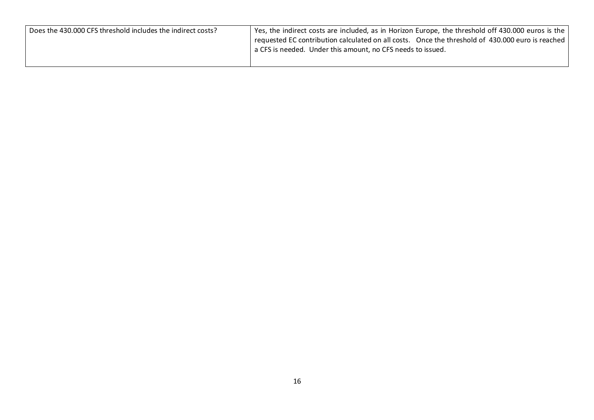| Yes, the indirect costs are included, as in Horizon Europe, the threshold off 430.000 euros is the |
|----------------------------------------------------------------------------------------------------|
| requested EC contribution calculated on all costs. Once the threshold of 430.000 euro is reached   |
| a CFS is needed. Under this amount, no CFS needs to issued.                                        |
|                                                                                                    |
|                                                                                                    |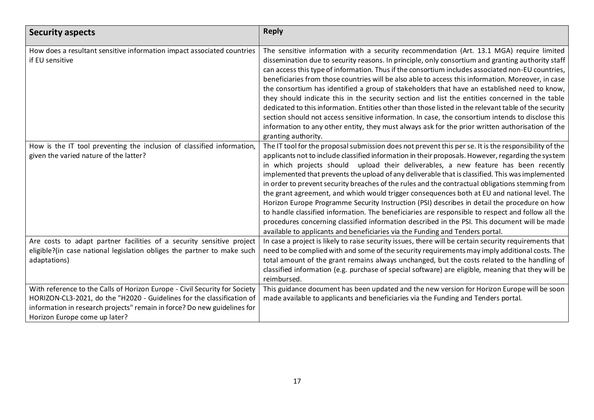| <b>Security aspects</b>                                                                                                                                                                                                                                           | <b>Reply</b>                                                                                                                                                                                                                                                                                                                                                                                                                                                                                                                                                                                                                                                                                                                                                                                                                                                                                                                                                                                      |
|-------------------------------------------------------------------------------------------------------------------------------------------------------------------------------------------------------------------------------------------------------------------|---------------------------------------------------------------------------------------------------------------------------------------------------------------------------------------------------------------------------------------------------------------------------------------------------------------------------------------------------------------------------------------------------------------------------------------------------------------------------------------------------------------------------------------------------------------------------------------------------------------------------------------------------------------------------------------------------------------------------------------------------------------------------------------------------------------------------------------------------------------------------------------------------------------------------------------------------------------------------------------------------|
| How does a resultant sensitive information impact associated countries<br>if EU sensitive                                                                                                                                                                         | The sensitive information with a security recommendation (Art. 13.1 MGA) require limited<br>dissemination due to security reasons. In principle, only consortium and granting authority staff<br>can access this type of information. Thus if the consortium includes associated non-EU countries,<br>beneficiaries from those countries will be also able to access this information. Moreover, in case<br>the consortium has identified a group of stakeholders that have an established need to know,<br>they should indicate this in the security section and list the entities concerned in the table<br>dedicated to this information. Entities other than those listed in the relevant table of the security<br>section should not access sensitive information. In case, the consortium intends to disclose this<br>information to any other entity, they must always ask for the prior written authorisation of the<br>granting authority.                                               |
| How is the IT tool preventing the inclusion of classified information,<br>given the varied nature of the latter?                                                                                                                                                  | The IT tool for the proposal submission does not prevent this per se. It is the responsibility of the<br>applicants not to include classified information in their proposals. However, regarding the system<br>in which projects should upload their deliverables, a new feature has been recently<br>implemented that prevents the upload of any deliverable that is classified. This was implemented<br>in order to prevent security breaches of the rules and the contractual obligations stemming from<br>the grant agreement, and which would trigger consequences both at EU and national level. The<br>Horizon Europe Programme Security Instruction (PSI) describes in detail the procedure on how<br>to handle classified information. The beneficiaries are responsible to respect and follow all the<br>procedures concerning classified information described in the PSI. This document will be made<br>available to applicants and beneficiaries via the Funding and Tenders portal. |
| Are costs to adapt partner facilities of a security sensitive project<br>eligible?(in case national legislation obliges the partner to make such<br>adaptations)                                                                                                  | In case a project is likely to raise security issues, there will be certain security requirements that<br>need to be complied with and some of the security requirements may imply additional costs. The<br>total amount of the grant remains always unchanged, but the costs related to the handling of<br>classified information (e.g. purchase of special software) are eligible, meaning that they will be<br>reimbursed.                                                                                                                                                                                                                                                                                                                                                                                                                                                                                                                                                                     |
| With reference to the Calls of Horizon Europe - Civil Security for Society<br>HORIZON-CL3-2021, do the "H2020 - Guidelines for the classification of<br>information in research projects" remain in force? Do new guidelines for<br>Horizon Europe come up later? | This guidance document has been updated and the new version for Horizon Europe will be soon<br>made available to applicants and beneficiaries via the Funding and Tenders portal.                                                                                                                                                                                                                                                                                                                                                                                                                                                                                                                                                                                                                                                                                                                                                                                                                 |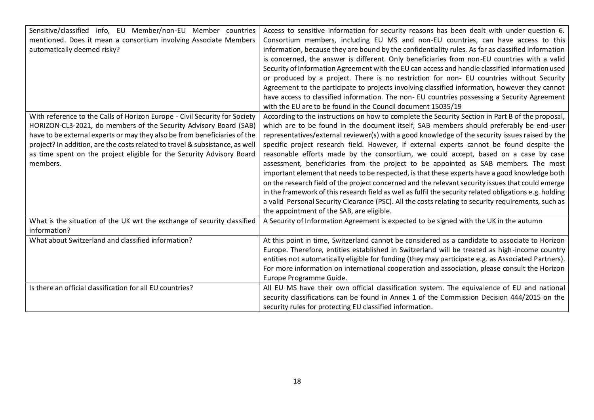| Sensitive/classified info, EU Member/non-EU Member countries<br>mentioned. Does it mean a consortium involving Associate Members<br>automatically deemed risky?                                                                                                                                                                                                                                   | Access to sensitive information for security reasons has been dealt with under question 6.<br>Consortium members, including EU MS and non-EU countries, can have access to this<br>information, because they are bound by the confidentiality rules. As far as classified information<br>is concerned, the answer is different. Only beneficiaries from non-EU countries with a valid<br>Security of Information Agreement with the EU can access and handle classified information used<br>or produced by a project. There is no restriction for non- EU countries without Security<br>Agreement to the participate to projects involving classified information, however they cannot<br>have access to classified information. The non- EU countries possessing a Security Agreement<br>with the EU are to be found in the Council document 15035/19                                                                                                                                                                                          |
|---------------------------------------------------------------------------------------------------------------------------------------------------------------------------------------------------------------------------------------------------------------------------------------------------------------------------------------------------------------------------------------------------|-------------------------------------------------------------------------------------------------------------------------------------------------------------------------------------------------------------------------------------------------------------------------------------------------------------------------------------------------------------------------------------------------------------------------------------------------------------------------------------------------------------------------------------------------------------------------------------------------------------------------------------------------------------------------------------------------------------------------------------------------------------------------------------------------------------------------------------------------------------------------------------------------------------------------------------------------------------------------------------------------------------------------------------------------|
| With reference to the Calls of Horizon Europe - Civil Security for Society<br>HORIZON-CL3-2021, do members of the Security Advisory Board (SAB)<br>have to be external experts or may they also be from beneficiaries of the<br>project? In addition, are the costs related to travel & subsistance, as well<br>as time spent on the project eligible for the Security Advisory Board<br>members. | According to the instructions on how to complete the Security Section in Part B of the proposal,<br>which are to be found in the document itself, SAB members should preferably be end-user<br>representatives/external reviewer(s) with a good knowledge of the security issues raised by the<br>specific project research field. However, if external experts cannot be found despite the<br>reasonable efforts made by the consortium, we could accept, based on a case by case<br>assessment, beneficiaries from the project to be appointed as SAB members. The most<br>important element that needs to be respected, is that these experts have a good knowledge both<br>on the research field of the project concerned and the relevant security issues that could emerge<br>in the framework of this research field as well as fulfil the security related obligations e.g. holding<br>a valid Personal Security Clearance (PSC). All the costs relating to security requirements, such as<br>the appointment of the SAB, are eligible. |
| What is the situation of the UK wrt the exchange of security classified<br>information?                                                                                                                                                                                                                                                                                                           | A Security of Information Agreement is expected to be signed with the UK in the autumn                                                                                                                                                                                                                                                                                                                                                                                                                                                                                                                                                                                                                                                                                                                                                                                                                                                                                                                                                          |
| What about Switzerland and classified information?                                                                                                                                                                                                                                                                                                                                                | At this point in time, Switzerland cannot be considered as a candidate to associate to Horizon<br>Europe. Therefore, entities established in Switzerland will be treated as high-income country<br>entities not automatically eligible for funding (they may participate e.g. as Associated Partners).<br>For more information on international cooperation and association, please consult the Horizon<br>Europe Programme Guide.                                                                                                                                                                                                                                                                                                                                                                                                                                                                                                                                                                                                              |
| Is there an official classification for all EU countries?                                                                                                                                                                                                                                                                                                                                         | All EU MS have their own official classification system. The equivalence of EU and national<br>security classifications can be found in Annex 1 of the Commission Decision 444/2015 on the<br>security rules for protecting EU classified information.                                                                                                                                                                                                                                                                                                                                                                                                                                                                                                                                                                                                                                                                                                                                                                                          |